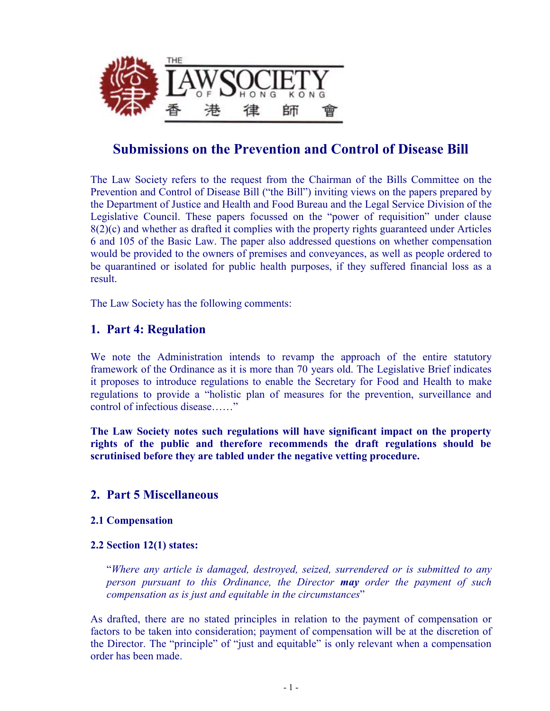

# **Submissions on the Prevention and Control of Disease Bill**

The Law Society refers to the request from the Chairman of the Bills Committee on the Prevention and Control of Disease Bill ("the Bill") inviting views on the papers prepared by the Department of Justice and Health and Food Bureau and the Legal Service Division of the Legislative Council. These papers focussed on the "power of requisition" under clause 8(2)(c) and whether as drafted it complies with the property rights guaranteed under Articles 6 and 105 of the Basic Law. The paper also addressed questions on whether compensation would be provided to the owners of premises and conveyances, as well as people ordered to be quarantined or isolated for public health purposes, if they suffered financial loss as a result.

The Law Society has the following comments:

# **1. Part 4: Regulation**

We note the Administration intends to revamp the approach of the entire statutory framework of the Ordinance as it is more than 70 years old. The Legislative Brief indicates it proposes to introduce regulations to enable the Secretary for Food and Health to make regulations to provide a "holistic plan of measures for the prevention, surveillance and control of infectious disease……"

**The Law Society notes such regulations will have significant impact on the property rights of the public and therefore recommends the draft regulations should be scrutinised before they are tabled under the negative vetting procedure.** 

# **2. Part 5 Miscellaneous**

## **2.1 Compensation**

## **2.2 Section 12(1) states:**

"*Where any article is damaged, destroyed, seized, surrendered or is submitted to any person pursuant to this Ordinance, the Director may order the payment of such compensation as is just and equitable in the circumstances*"

As drafted, there are no stated principles in relation to the payment of compensation or factors to be taken into consideration; payment of compensation will be at the discretion of the Director. The "principle" of "just and equitable" is only relevant when a compensation order has been made.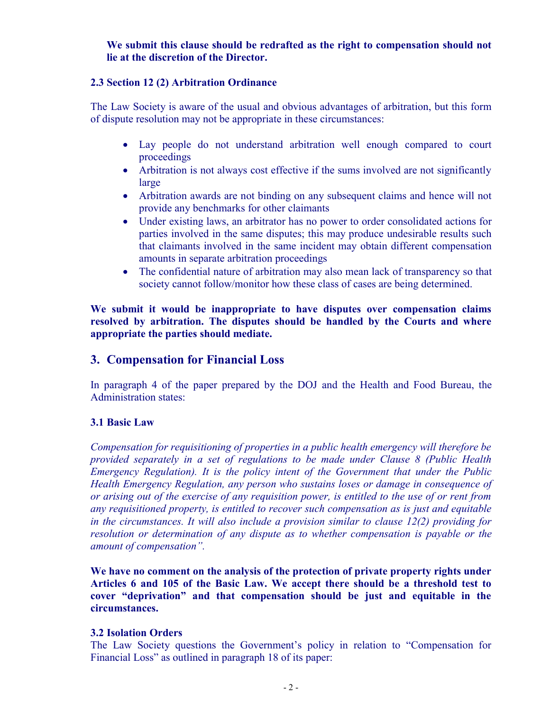## **We submit this clause should be redrafted as the right to compensation should not lie at the discretion of the Director.**

#### **2.3 Section 12 (2) Arbitration Ordinance**

The Law Society is aware of the usual and obvious advantages of arbitration, but this form of dispute resolution may not be appropriate in these circumstances:

- · Lay people do not understand arbitration well enough compared to court proceedings
- Arbitration is not always cost effective if the sums involved are not significantly large
- Arbitration awards are not binding on any subsequent claims and hence will not provide any benchmarks for other claimants
- · Under existing laws, an arbitrator has no power to order consolidated actions for parties involved in the same disputes; this may produce undesirable results such that claimants involved in the same incident may obtain different compensation amounts in separate arbitration proceedings
- The confidential nature of arbitration may also mean lack of transparency so that society cannot follow/monitor how these class of cases are being determined.

**We submit it would be inappropriate to have disputes over compensation claims resolved by arbitration. The disputes should be handled by the Courts and where appropriate the parties should mediate.** 

# **3. Compensation for Financial Loss**

In paragraph 4 of the paper prepared by the DOJ and the Health and Food Bureau, the Administration states:

## **3.1 Basic Law**

*Compensation for requisitioning of properties in a public health emergency will therefore be provided separately in a set of regulations to be made under Clause 8 (Public Health Emergency Regulation). It is the policy intent of the Government that under the Public Health Emergency Regulation, any person who sustains loses or damage in consequence of*  or arising out of the exercise of any requisition power, is entitled to the use of or rent from *any requisitioned property, is entitled to recover such compensation as is just and equitable in the circumstances. It will also include a provision similar to clause 12(2) providing for resolution or determination of any dispute as to whether compensation is payable or the amount of compensation".* 

**We have no comment on the analysis of the protection of private property rights under Articles 6 and 105 of the Basic Law. We accept there should be a threshold test to cover "deprivation" and that compensation should be just and equitable in the circumstances.** 

#### **3.2 Isolation Orders**

The Law Society questions the Government's policy in relation to "Compensation for Financial Loss" as outlined in paragraph 18 of its paper: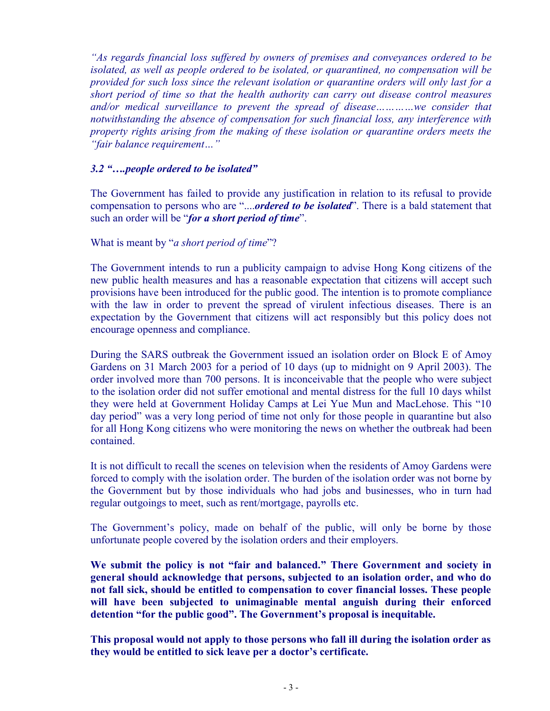*"As regards financial loss suffered by owners of premises and conveyances ordered to be isolated, as well as people ordered to be isolated, or quarantined, no compensation will be provided for such loss since the relevant isolation or quarantine orders will only last for a short period of time so that the health authority can carry out disease control measures and/or medical surveillance to prevent the spread of disease…………we consider that notwithstanding the absence of compensation for such financial loss, any interference with property rights arising from the making of these isolation or quarantine orders meets the "fair balance requirement…"*

#### *3.2 "….people ordered to be isolated"*

The Government has failed to provide any justification in relation to its refusal to provide compensation to persons who are "....*ordered to be isolated*". There is a bald statement that such an order will be "*for a short period of time*".

#### What is meant by "*a short period of time*"?

The Government intends to run a publicity campaign to advise Hong Kong citizens of the new public health measures and has a reasonable expectation that citizens will accept such provisions have been introduced for the public good. The intention is to promote compliance with the law in order to prevent the spread of virulent infectious diseases. There is an expectation by the Government that citizens will act responsibly but this policy does not encourage openness and compliance.

During the SARS outbreak the Government issued an isolation order on Block E of Amoy Gardens on 31 March 2003 for a period of 10 days (up to midnight on 9 April 2003). The order involved more than 700 persons. It is inconceivable that the people who were subject to the isolation order did not suffer emotional and mental distress for the full 10 days whilst they were held at Government Holiday Camps at Lei Yue Mun and MacLehose. This "10 day period" was a very long period of time not only for those people in quarantine but also for all Hong Kong citizens who were monitoring the news on whether the outbreak had been contained.

It is not difficult to recall the scenes on television when the residents of Amoy Gardens were forced to comply with the isolation order. The burden of the isolation order was not borne by the Government but by those individuals who had jobs and businesses, who in turn had regular outgoings to meet, such as rent/mortgage, payrolls etc.

The Government's policy, made on behalf of the public, will only be borne by those unfortunate people covered by the isolation orders and their employers.

**We submit the policy is not "fair and balanced." There Government and society in general should acknowledge that persons, subjected to an isolation order, and who do not fall sick, should be entitled to compensation to cover financial losses. These people will have been subjected to unimaginable mental anguish during their enforced detention "for the public good". The Government's proposal is inequitable.** 

**This proposal would not apply to those persons who fall ill during the isolation order as they would be entitled to sick leave per a doctor's certificate.**